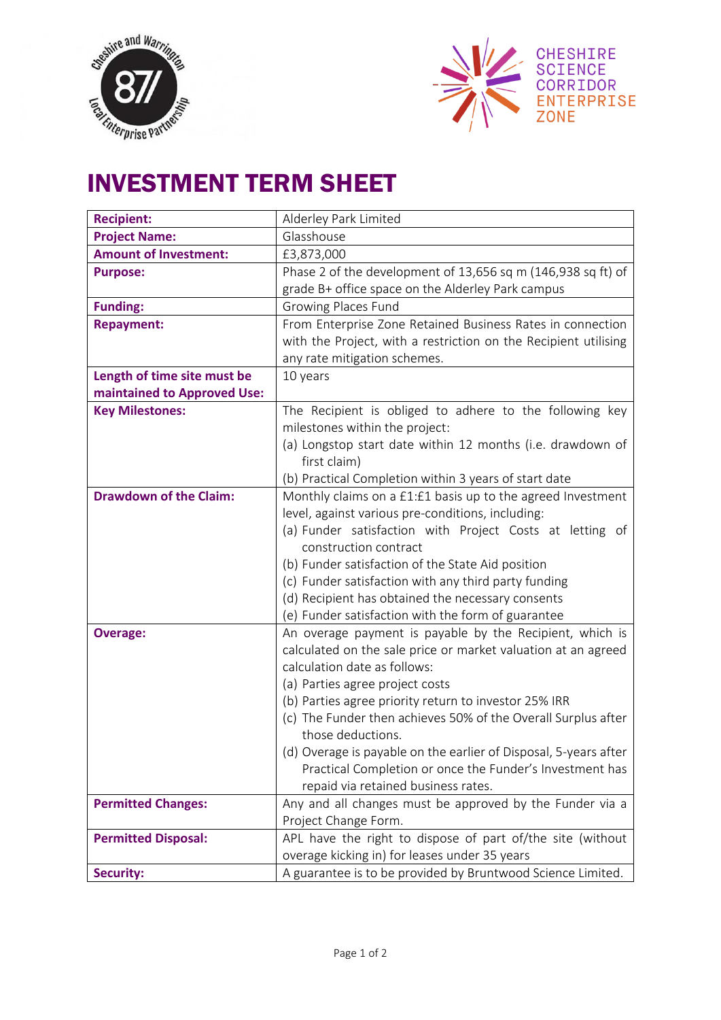



## INVESTMENT TERM SHEET

| <b>Recipient:</b>             | Alderley Park Limited                                            |
|-------------------------------|------------------------------------------------------------------|
| <b>Project Name:</b>          | Glasshouse                                                       |
| <b>Amount of Investment:</b>  | £3,873,000                                                       |
| <b>Purpose:</b>               | Phase 2 of the development of 13,656 sq m (146,938 sq ft) of     |
|                               | grade B+ office space on the Alderley Park campus                |
| <b>Funding:</b>               | Growing Places Fund                                              |
| <b>Repayment:</b>             | From Enterprise Zone Retained Business Rates in connection       |
|                               | with the Project, with a restriction on the Recipient utilising  |
|                               | any rate mitigation schemes.                                     |
| Length of time site must be   | 10 years                                                         |
| maintained to Approved Use:   |                                                                  |
| <b>Key Milestones:</b>        | The Recipient is obliged to adhere to the following key          |
|                               | milestones within the project:                                   |
|                               | (a) Longstop start date within 12 months (i.e. drawdown of       |
|                               | first claim)                                                     |
|                               | (b) Practical Completion within 3 years of start date            |
| <b>Drawdown of the Claim:</b> | Monthly claims on a £1:£1 basis up to the agreed Investment      |
|                               | level, against various pre-conditions, including:                |
|                               | (a) Funder satisfaction with Project Costs at letting of         |
|                               | construction contract                                            |
|                               | (b) Funder satisfaction of the State Aid position                |
|                               | (c) Funder satisfaction with any third party funding             |
|                               | (d) Recipient has obtained the necessary consents                |
|                               | (e) Funder satisfaction with the form of guarantee               |
| <b>Overage:</b>               | An overage payment is payable by the Recipient, which is         |
|                               | calculated on the sale price or market valuation at an agreed    |
|                               | calculation date as follows:                                     |
|                               | (a) Parties agree project costs                                  |
|                               | (b) Parties agree priority return to investor 25% IRR            |
|                               | (c) The Funder then achieves 50% of the Overall Surplus after    |
|                               | those deductions.                                                |
|                               | (d) Overage is payable on the earlier of Disposal, 5-years after |
|                               | Practical Completion or once the Funder's Investment has         |
|                               | repaid via retained business rates.                              |
| <b>Permitted Changes:</b>     | Any and all changes must be approved by the Funder via a         |
|                               | Project Change Form.                                             |
| <b>Permitted Disposal:</b>    | APL have the right to dispose of part of/the site (without       |
|                               | overage kicking in) for leases under 35 years                    |
| <b>Security:</b>              | A guarantee is to be provided by Bruntwood Science Limited.      |